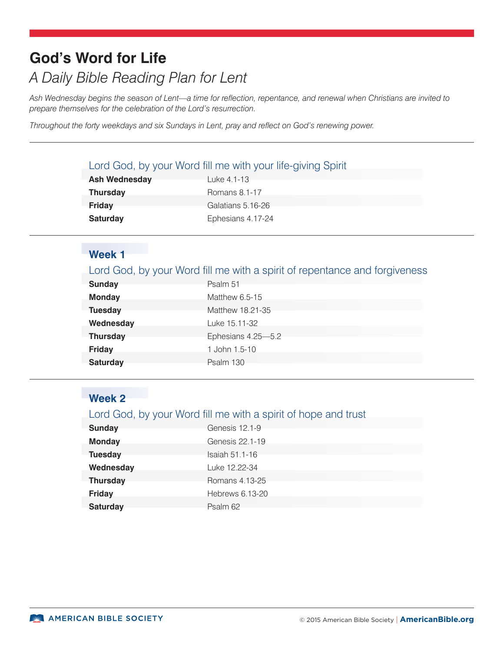# **God's Word for Life** *A Daily Bible Reading Plan for Lent*

*Ash Wednesday begins the season of Lent—a time for reflection, repentance, and renewal when Christians are invited to prepare themselves for the celebration of the Lord's resurrection.* 

*Throughout the forty weekdays and six Sundays in Lent, pray and reflect on God's renewing power.*

#### Lord God, by your Word fill me with your life-giving Spirit

| <b>Ash Wednesday</b> | Luke 4.1-13       |
|----------------------|-------------------|
| <b>Thursday</b>      | Romans 8.1-17     |
| Friday               | Galatians 5.16-26 |
| <b>Saturday</b>      | Ephesians 4.17-24 |

# **Week 1**

| Lord God, by your Word fill me with a spirit of repentance and forgiveness |  |  |
|----------------------------------------------------------------------------|--|--|
|                                                                            |  |  |

| <b>Sunday</b>   | Psalm 51           |
|-----------------|--------------------|
| <b>Monday</b>   | Matthew 6.5-15     |
| <b>Tuesday</b>  | Matthew 18.21-35   |
| Wednesday       | Luke 15.11-32      |
| <b>Thursday</b> | Ephesians 4.25-5.2 |
| <b>Friday</b>   | 1 John 1.5-10      |
| <b>Saturday</b> | Psalm 130          |

## **Week 2**

### Lord God, by your Word fill me with a spirit of hope and trust

| <b>Sunday</b>   | Genesis 12.1-9  |
|-----------------|-----------------|
| <b>Monday</b>   | Genesis 22.1-19 |
| <b>Tuesday</b>  | Isaiah 51.1-16  |
| Wednesday       | Luke 12.22-34   |
| <b>Thursday</b> | Romans 4.13-25  |
| <b>Friday</b>   | Hebrews 6.13-20 |
| <b>Saturday</b> | Psalm 62        |